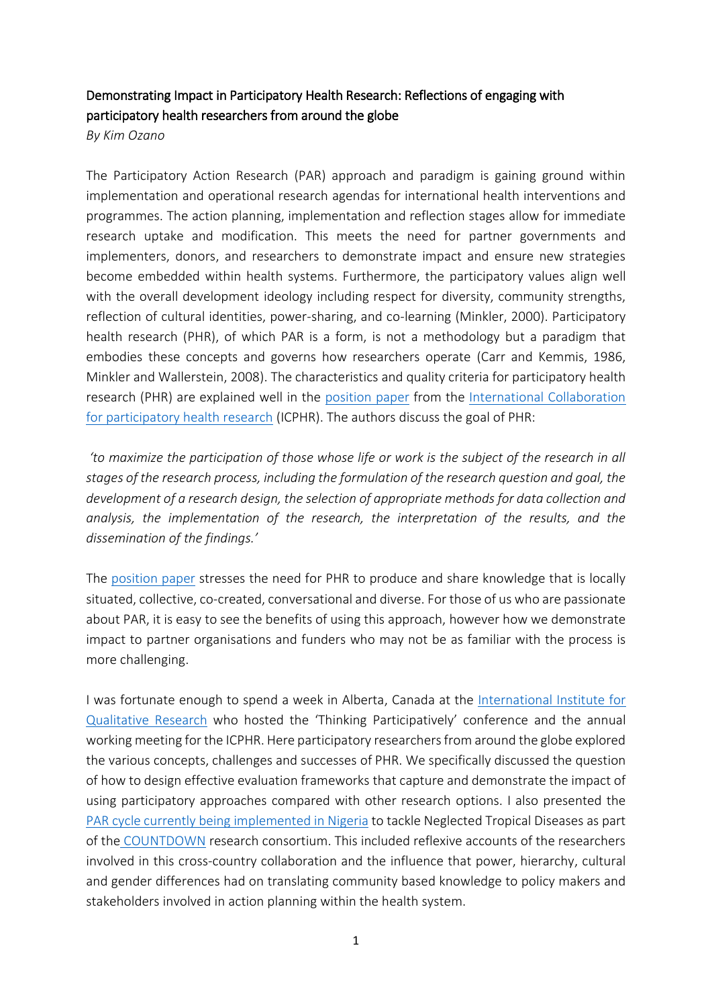## Demonstrating Impact in Participatory Health Research: Reflections of engaging with participatory health researchers from around the globe

*By Kim Ozano*

The Participatory Action Research (PAR) approach and paradigm is gaining ground within implementation and operational research agendas for international health interventions and programmes. The action planning, implementation and reflection stages allow for immediate research uptake and modification. This meets the need for partner governments and implementers, donors, and researchers to demonstrate impact and ensure new strategies become embedded within health systems. Furthermore, the participatory values align well with the overall development ideology including respect for diversity, community strengths, reflection of cultural identities, power-sharing, and co-learning (Minkler, 2000). Participatory health research (PHR), of which PAR is a form, is not a methodology but a paradigm that embodies these concepts and governs how researchers operate (Carr and Kemmis, 1986, Minkler and Wallerstein, 2008). The characteristics and quality criteria for participatory health research (PHR) are explained well in the [position paper](http://www.icphr.org/uploads/2/0/3/9/20399575/ichpr_position_paper_1_defintion_-_version_may_2013.pdf) from the [International Collaboration](http://www.icphr.org/)  [for participatory health research](http://www.icphr.org/) (ICPHR). The authors discuss the goal of PHR:

*'to maximize the participation of those whose life or work is the subject of the research in all stages of the research process, including the formulation of the research question and goal, the development of a research design, the selection of appropriate methods for data collection and analysis, the implementation of the research, the interpretation of the results, and the dissemination of the findings.'* 

The [position paper](http://www.icphr.org/uploads/2/0/3/9/20399575/ichpr_position_paper_1_defintion_-_version_may_2013.pdf) stresses the need for PHR to produce and share knowledge that is locally situated, collective, co-created, conversational and diverse. For those of us who are passionate about PAR, it is easy to see the benefits of using this approach, however how we demonstrate impact to partner organisations and funders who may not be as familiar with the process is more challenging.

I was fortunate enough to spend a week in Alberta, Canada at the [International Institute for](https://www.ualberta.ca/international-institute-for-qualitative-methodology/about-us)  [Qualitative Research](https://www.ualberta.ca/international-institute-for-qualitative-methodology/about-us) who hosted the 'Thinking Participatively' conference and the annual working meeting for the ICPHR. Here participatory researchers from around the globe explored the various concepts, challenges and successes of PHR. We specifically discussed the question of how to design effective evaluation frameworks that capture and demonstrate the impact of using participatory approaches compared with other research options. I also presented the [PAR cycle currently being implemented](http://countdown.lstmed.ac.uk/news-events/news/engaging-in-multi-sectoral-collaboration-and-fostering-partnerships-participatory) in Nigeria to tackle Neglected Tropical Diseases as part of the [COUNTDOWN](http://countdown.lstmed.ac.uk/) research consortium. This included reflexive accounts of the researchers involved in this cross-country collaboration and the influence that power, hierarchy, cultural and gender differences had on translating community based knowledge to policy makers and stakeholders involved in action planning within the health system.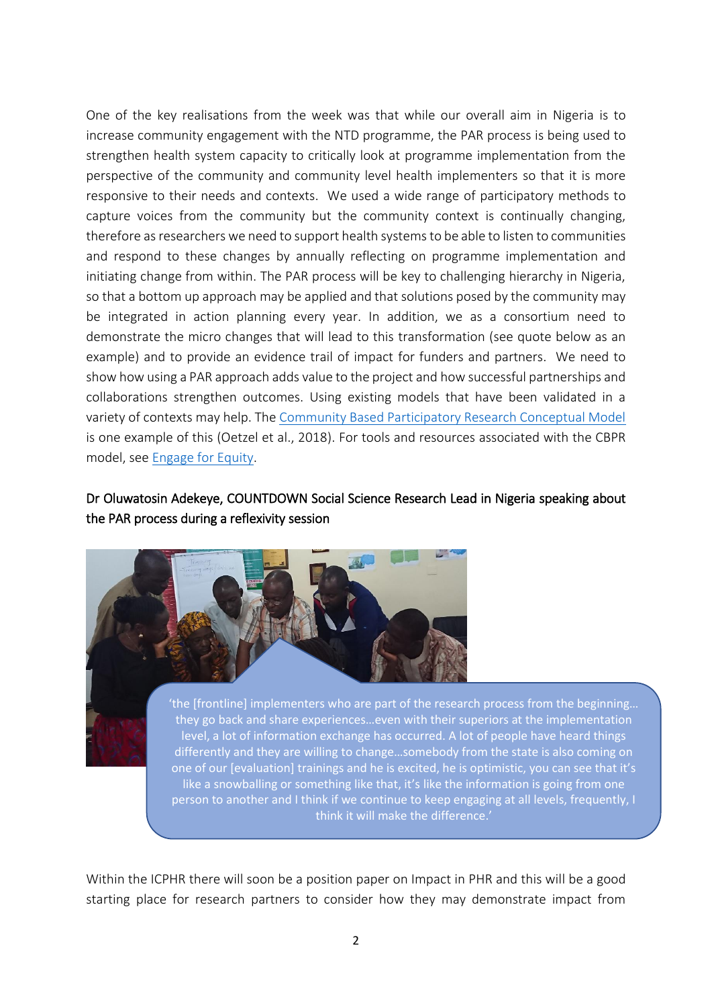One of the key realisations from the week was that while our overall aim in Nigeria is to increase community engagement with the NTD programme, the PAR process is being used to strengthen health system capacity to critically look at programme implementation from the perspective of the community and community level health implementers so that it is more responsive to their needs and contexts. We used a wide range of participatory methods to capture voices from the community but the community context is continually changing, therefore as researchers we need to support health systems to be able to listen to communities and respond to these changes by annually reflecting on programme implementation and initiating change from within. The PAR process will be key to challenging hierarchy in Nigeria, so that a bottom up approach may be applied and that solutions posed by the community may be integrated in action planning every year. In addition, we as a consortium need to demonstrate the micro changes that will lead to this transformation (see quote below as an example) and to provide an evidence trail of impact for funders and partners. We need to show how using a PAR approach adds value to the project and how successful partnerships and collaborations strengthen outcomes. Using existing models that have been validated in a variety of contexts may help. The [Community Based Participatory Research Conceptual Model](https://www.hindawi.com/journals/bmri/2018/7281405/cta/) is one example of this (Oetzel et al., 2018). For tools and resources associated with the CBPR model, see [Engage for Equity.](https://cpr.unm.edu/research-projects/cbpr-project/index.html)

## Dr Oluwatosin Adekeye, COUNTDOWN Social Science Research Lead in Nigeria speaking about the PAR process during a reflexivity session



they go back and share experiences…even with their superiors at the implementation level, a lot of information exchange has occurred. A lot of people have heard things differently and they are willing to change…somebody from the state is also coming on one of our [evaluation] trainings and he is excited, he is optimistic, you can see that it's like a snowballing or something like that, it's like the information is going from one person to another and I think if we continue to keep engaging at all levels, frequently, I think it will make the difference.'

Within the ICPHR there will soon be a position paper on Impact in PHR and this will be a good starting place for research partners to consider how they may demonstrate impact from